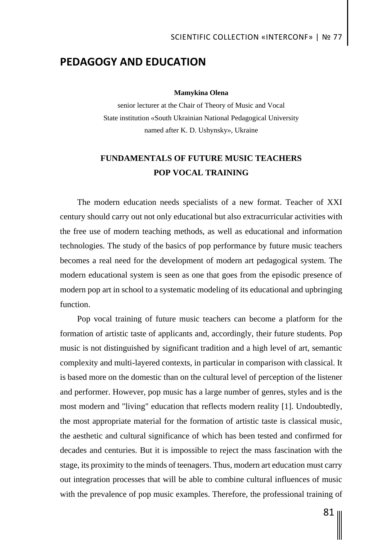# SCIENTIFIC COLLECTION «INTERCONF» | № 77

## **PEDAGOGY AND EDUCATION**

### **Mamykina Olena**

senior lecturer at the Chair of Theory of Music and Vocal State institution «South Ukrainian National Pedagogical University named after K. D. Ushynsky», Ukraine

# **FUNDAMENTALS OF FUTURE MUSIC TEACHERS POP VOCAL TRAINING**

The modern education needs specialists of a new format. Teacher of XXI century should carry out not only educational but also extracurricular activities with the free use of modern teaching methods, as well as educational and information technologies. The study of the basics of pop performance by future music teachers becomes a real need for the development of modern art pedagogical system. The modern educational system is seen as one that goes from the episodic presence of modern pop art in school to a systematic modeling of its educational and upbringing function.

Pop vocal training of future music teachers can become a platform for the formation of artistic taste of applicants and, accordingly, their future students. Pop music is not distinguished by significant tradition and a high level of art, semantic complexity and multi-layered contexts, in particular in comparison with classical. It is based more on the domestic than on the cultural level of perception of the listener and performer. However, pop music has a large number of genres, styles and is the most modern and "living" education that reflects modern reality [1]. Undoubtedly, the most appropriate material for the formation of artistic taste is classical music, the aesthetic and cultural significance of which has been tested and confirmed for decades and centuries. But it is impossible to reject the mass fascination with the stage, its proximity to the minds of teenagers. Thus, modern art education must carry out integration processes that will be able to combine cultural influences of music with the prevalence of pop music examples. Therefore, the professional training of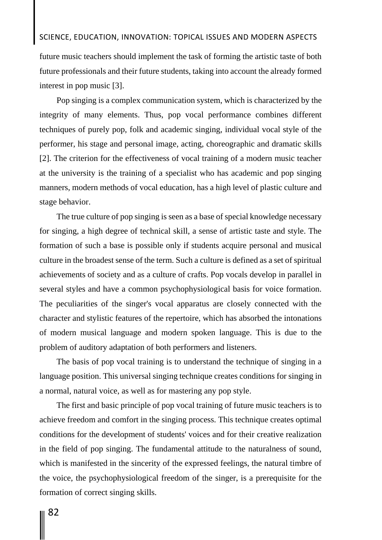### SCIENCE, EDUCATION, INNOVATION: TOPICAL ISSUES AND MODERN ASPECTS

future music teachers should implement the task of forming the artistic taste of both future professionals and their future students, taking into account the already formed interest in pop music [3].

Pop singing is a complex communication system, which is characterized by the integrity of many elements. Thus, pop vocal performance combines different techniques of purely pop, folk and academic singing, individual vocal style of the performer, his stage and personal image, acting, choreographic and dramatic skills [2]. The criterion for the effectiveness of vocal training of a modern music teacher at the university is the training of a specialist who has academic and pop singing manners, modern methods of vocal education, has a high level of plastic culture and stage behavior.

The true culture of pop singing is seen as a base of special knowledge necessary for singing, a high degree of technical skill, a sense of artistic taste and style. The formation of such a base is possible only if students acquire personal and musical culture in the broadest sense of the term. Such a culture is defined as a set of spiritual achievements of society and as a culture of crafts. Pop vocals develop in parallel in several styles and have a common psychophysiological basis for voice formation. The peculiarities of the singer's vocal apparatus are closely connected with the character and stylistic features of the repertoire, which has absorbed the intonations of modern musical language and modern spoken language. This is due to the problem of auditory adaptation of both performers and listeners.

The basis of pop vocal training is to understand the technique of singing in a language position. This universal singing technique creates conditions for singing in a normal, natural voice, as well as for mastering any pop style.

The first and basic principle of pop vocal training of future music teachers is to achieve freedom and comfort in the singing process. This technique creates optimal conditions for the development of students' voices and for their creative realization in the field of pop singing. The fundamental attitude to the naturalness of sound, which is manifested in the sincerity of the expressed feelings, the natural timbre of the voice, the psychophysiological freedom of the singer, is a prerequisite for the formation of correct singing skills.